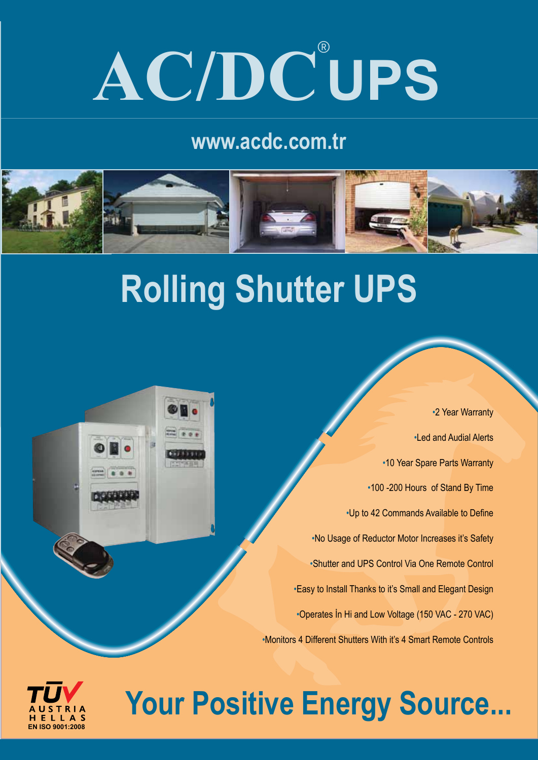# **AC/DC**® **UPS**

### **www.acdc.com.tr**



## **Rolling Shutter UPS**

 •2 Year Warranty •Led and Audial Alerts •10 Year Spare Parts Warranty •100 -200 Hours of Stand By Time •Up to 42 Commands Available to Define •No Usage of Reductor Motor Increases it's Safety •Shutter and UPS Control Via One Remote Control •Easy to Install Thanks to it's Small and Elegant Design •Operates İn Hi and Low Voltage (150 VAC - 270 VAC) •Monitors 4 Different Shutters With it's 4 Smart Remote Controls



## **Your Positive Energy Source...**